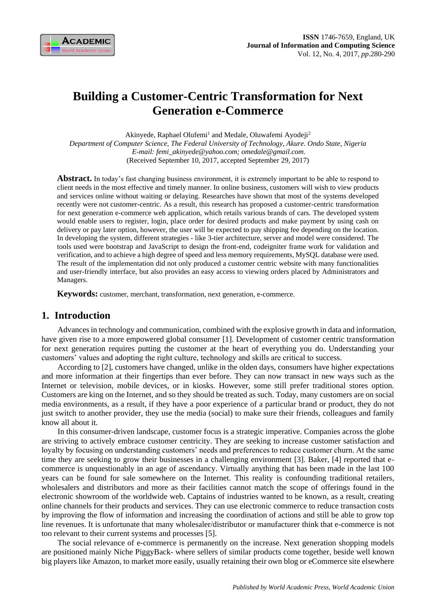

# **Building a Customer-Centric Transformation for Next Generation e-Commerce**

Akinyede, Raphael Olufemi<sup>1</sup> and Medale, Oluwafemi Ayodeji<sup>2</sup> *Department of Computer Science, The Federal University of Technology, Akure. Ondo State, Nigeria E-mail: femi\_akinyede@yahoo.com; omedale@gmail.com.* (Received September 10, 2017, accepted September 29, 2017)

Abstract. In today's fast changing business environment, it is extremely important to be able to respond to client needs in the most effective and timely manner. In online business, customers will wish to view products and services online without waiting or delaying. Researches have shown that most of the systems developed recently were not customer-centric. As a result, this research has proposed a customer-centric transformation for next generation e-commerce web application, which retails various brands of cars. The developed system would enable users to register, login, place order for desired products and make payment by using cash on delivery or pay later option, however, the user will be expected to pay shipping fee depending on the location. In developing the system, different strategies - like 3-tier architecture, server and model were considered. The tools used were bootstrap and JavaScript to design the front-end, codeigniter frame work for validation and verification, and to achieve a high degree of speed and less memory requirements, MySQL database were used. The result of the implementation did not only produced a customer centric website with many functionalities and user-friendly interface, but also provides an easy access to viewing orders placed by Administrators and Managers.

**Keywords:** customer, merchant, transformation, next generation, e-commerce.

### **1. Introduction**

Advances in technology and communication, combined with the explosive growth in data and information, have given rise to a more empowered global consumer [1]. Development of customer centric transformation for next generation requires putting the customer at the heart of everything you do. Understanding your customers' values and adopting the right culture, technology and skills are critical to success.

According to [2], customers have changed, unlike in the olden days, consumers have higher expectations and more information at their fingertips than ever before. They can now transact in new ways such as the Internet or television, mobile devices, or in kiosks. However, some still prefer traditional stores option. Customers are king on the Internet, and so they should be treated as such. Today, many customers are on social media environments, as a result, if they have a poor experience of a particular brand or product, they do not just switch to another provider, they use the media (social) to make sure their friends, colleagues and family know all about it.

In this consumer-driven landscape, customer focus is a strategic imperative. Companies across the globe are striving to actively embrace customer centricity. They are seeking to increase customer satisfaction and loyalty by focusing on understanding customers' needs and preferences to reduce customer churn. At the same time they are seeking to grow their businesses in a challenging environment [3]. Baker, [4] reported that ecommerce is unquestionably in an age of ascendancy. Virtually anything that has been made in the last 100 years can be found for sale somewhere on the Internet. This reality is confounding traditional retailers, wholesalers and distributors and more as their facilities cannot match the scope of offerings found in the electronic showroom of the worldwide web. Captains of industries wanted to be known, as a result, creating online channels for their products and services. They can use electronic commerce to reduce transaction costs by improving the flow of information and increasing the coordination of actions and still be able to grow top line revenues. It is unfortunate that many wholesaler/distributor or manufacturer think that e-commerce is not too relevant to their current systems and processes [5].

The social relevance of e-commerce is permanently on the increase. Next generation shopping models are positioned mainly Niche PiggyBack- where sellers of similar products come together, beside well known big players like Amazon, to market more easily, usually retaining their own blog or eCommerce site elsewhere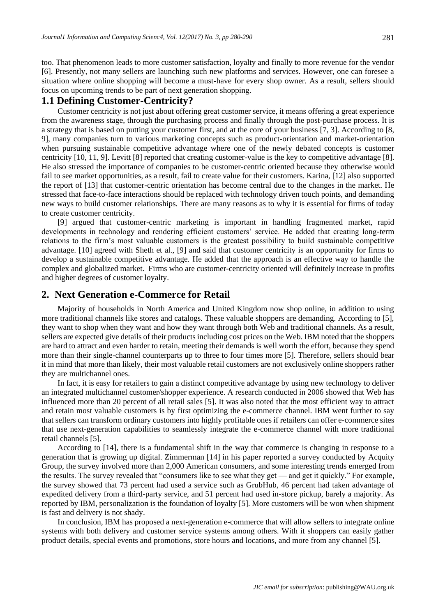too. That phenomenon leads to more customer satisfaction, loyalty and finally to more revenue for the vendor [6]. Presently, not many sellers are launching such new platforms and services. However, one can foresee a situation where online shopping will become a must-have for every shop owner. As a result, sellers should focus on upcoming trends to be part of next generation shopping.

### **1.1 Defining Customer-Centricity?**

Customer centricity is not just about offering great customer service, it means offering a great experience from the awareness stage, through the purchasing process and finally through the post-purchase process. It is a strategy that is based on putting your customer first, and at the core of your business [7, 3]. According to [8, 9], many companies turn to various marketing concepts such as product-orientation and market-orientation when pursuing sustainable competitive advantage where one of the newly debated concepts is customer centricity [10, 11, 9]. Levitt [8] reported that creating customer-value is the key to competitive advantage [8]. He also stressed the importance of companies to be customer-centric oriented because they otherwise would fail to see market opportunities, as a result, fail to create value for their customers. Karina, [12] also supported the report of [13] that customer-centric orientation has become central due to the changes in the market. He stressed that face-to-face interactions should be replaced with technology driven touch points, and demanding new ways to build customer relationships. There are many reasons as to why it is essential for firms of today to create customer centricity.

[9] argued that customer-centric marketing is important in handling fragmented market, rapid developments in technology and rendering efficient customers' service. He added that creating long-term relations to the firm's most valuable customers is the greatest possibility to build sustainable competitive advantage. [10] agreed with Sheth et al., [9] and said that customer centricity is an opportunity for firms to develop a sustainable competitive advantage. He added that the approach is an effective way to handle the complex and globalized market. Firms who are customer-centricity oriented will definitely increase in profits and higher degrees of customer loyalty.

### **2. Next Generation e-Commerce for Retail**

Majority of households in North America and United Kingdom now shop online, in addition to using more traditional channels like stores and catalogs. These valuable shoppers are demanding. According to [5], they want to shop when they want and how they want through both Web and traditional channels. As a result, sellers are expected give details of their products including cost prices on the Web. IBM noted that the shoppers are hard to attract and even harder to retain, meeting their demands is well worth the effort, because they spend more than their single-channel counterparts up to three to four times more [5]. Therefore, sellers should bear it in mind that more than likely, their most valuable retail customers are not exclusively online shoppers rather they are multichannel ones.

In fact, it is easy for retailers to gain a distinct competitive advantage by using new technology to deliver an integrated multichannel customer/shopper experience. A research conducted in 2006 showed that Web has influenced more than 20 percent of all retail sales [5]. It was also noted that the most efficient way to attract and retain most valuable customers is by first optimizing the e-commerce channel. IBM went further to say that sellers can transform ordinary customers into highly profitable ones if retailers can offer e-commerce sites that use next-generation capabilities to seamlessly integrate the e-commerce channel with more traditional retail channels [5].

According to [14], there is a fundamental shift in the way that commerce is changing in response to a generation that is growing up digital. Zimmerman [14] in his paper reported a survey conducted by Acquity Group, the survey involved more than 2,000 American consumers, and some interesting trends emerged from the results. The survey revealed that "consumers like to see what they get — and get it quickly." For example, the survey showed that 73 percent had used a service such as GrubHub, 46 percent had taken advantage of expedited delivery from a third-party service, and 51 percent had used in-store pickup, barely a majority. As reported by IBM, personalization is the foundation of loyalty [5]. More customers will be won when shipment is fast and delivery is not shady.

In conclusion, IBM has proposed a next-generation e-commerce that will allow sellers to integrate online systems with both delivery and customer service systems among others. With it shoppers can easily gather product details, special events and promotions, store hours and locations, and more from any channel [5].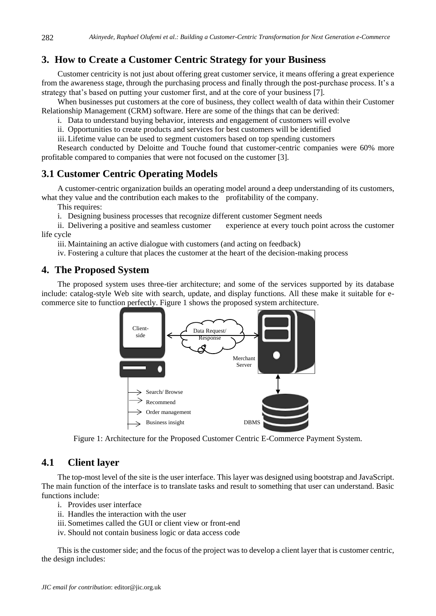# **3. How to Create a Customer Centric Strategy for your Business**

Customer centricity is not just about offering great customer service, it means offering a great experience from the awareness stage, through the purchasing process and finally through the post-purchase process. It's a strategy that's based on putting your customer first, and at the core of your business [7].

When businesses put customers at the core of business, they collect wealth of data within their Customer Relationship Management (CRM) software. Here are some of the things that can be derived:

i. Data to understand buying behavior, interests and engagement of customers will evolve

ii. Opportunities to create products and services for best customers will be identified

iii. Lifetime value can be used to segment customers based on top spending customers

Research conducted by Deloitte and Touche found that customer-centric companies were 60% more profitable compared to companies that were not focused on the customer [3].

## **3.1 Customer Centric Operating Models**

A customer-centric organization builds an operating model around a deep understanding of its customers, what they value and the contribution each makes to the profitability of the company.

This requires:

i. Designing business processes that recognize different customer Segment needs

ii. Delivering a positive and seamless customer experience at every touch point across the customer life cycle

iii. Maintaining an active dialogue with customers (and acting on feedback)

iv. Fostering a culture that places the customer at the heart of the decision-making process

### **4. The Proposed System**

The proposed system uses three-tier architecture; and some of the services supported by its database include: catalog-style Web site with search, update, and display functions. All these make it suitable for ecommerce site to function perfectly. Figure 1 shows the proposed system architecture.



Figure 1: Architecture for the Proposed Customer Centric E-Commerce Payment System.

### **4.1 Client layer**

The top-most level of the site is the user interface. This layer was designed using bootstrap and JavaScript. The main function of the interface is to translate tasks and result to something that user can understand. Basic functions include:

- i. Provides user interface
- ii. Handles the interaction with the user
- iii. Sometimes called the GUI or client view or front-end
- iv. Should not contain business logic or data access code

This is the customer side; and the focus of the project was to develop a client layer that is customer centric, the design includes: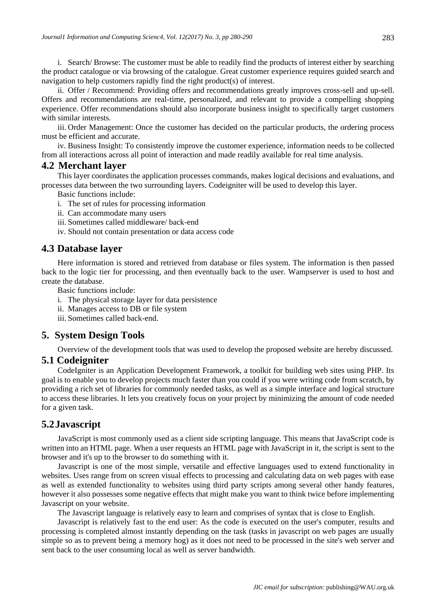i. Search/ Browse: The customer must be able to readily find the products of interest either by searching the product catalogue or via browsing of the catalogue. Great customer experience requires guided search and navigation to help customers rapidly find the right product(s) of interest.

ii. Offer / Recommend: Providing offers and recommendations greatly improves cross-sell and up-sell. Offers and recommendations are real-time, personalized, and relevant to provide a compelling shopping experience. Offer recommendations should also incorporate business insight to specifically target customers with similar interests.

iii. Order Management: Once the customer has decided on the particular products, the ordering process must be efficient and accurate.

iv. Business Insight: To consistently improve the customer experience, information needs to be collected from all interactions across all point of interaction and made readily available for real time analysis.

### **4.2 Merchant layer**

This layer coordinates the application processes commands, makes logical decisions and evaluations, and processes data between the two surrounding layers. Codeigniter will be used to develop this layer.

Basic functions include:

- i. The set of rules for processing information
- ii. Can accommodate many users
- iii. Sometimes called middleware/ back-end
- iv. Should not contain presentation or data access code

### **4.3 Database layer**

Here information is stored and retrieved from database or files system. The information is then passed back to the logic tier for processing, and then eventually back to the user. Wampserver is used to host and create the database.

Basic functions include:

- i. The physical storage layer for data persistence
- ii. Manages access to DB or file system
- iii. Sometimes called back-end.

### **5. System Design Tools**

Overview of the development tools that was used to develop the proposed website are hereby discussed.

### **5.1 Codeigniter**

CodeIgniter is an Application Development Framework, a toolkit for building web sites using PHP. Its goal is to enable you to develop projects much faster than you could if you were writing code from scratch, by providing a rich set of libraries for commonly needed tasks, as well as a simple interface and logical structure to access these libraries. It lets you creatively focus on your project by minimizing the amount of code needed for a given task.

### **5.2Javascript**

JavaScript is most commonly used as a client side scripting language. This means that JavaScript code is written into an HTML page. When a user requests an HTML page with JavaScript in it, the script is sent to the browser and it's up to the browser to do something with it.

Javascript is one of the most simple, versatile and effective languages used to extend functionality in websites. Uses range from on screen visual effects to processing and calculating data on web pages with ease as well as extended functionality to websites using third party scripts among several other handy features, however it also possesses some negative effects that might make you want to think twice before implementing Javascript on your website.

The Javascript language is relatively easy to learn and comprises of syntax that is close to English.

Javascript is relatively fast to the end user: As the code is executed on the user's computer, results and processing is completed almost instantly depending on the task (tasks in javascript on web pages are usually simple so as to prevent being a memory hog) as it does not need to be processed in the site's web server and sent back to the user consuming local as well as server bandwidth.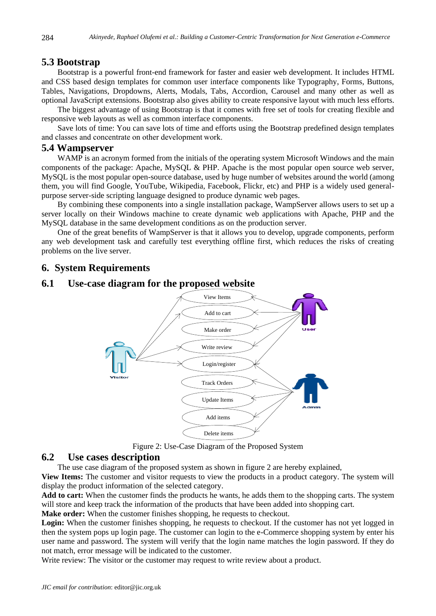#### **5.3 Bootstrap**

Bootstrap is a powerful front-end framework for faster and easier web development. It includes HTML and CSS based design templates for common user interface components like Typography, Forms, Buttons, Tables, Navigations, Dropdowns, Alerts, Modals, Tabs, Accordion, Carousel and many other as well as optional JavaScript extensions. Bootstrap also gives ability to create responsive layout with much less efforts.

The biggest advantage of using Bootstrap is that it comes with free set of tools for creating flexible and responsive web layouts as well as common interface components.

Save lots of time: You can save lots of time and efforts using the Bootstrap predefined design templates and classes and concentrate on other development work.

### **5.4 Wampserver**

WAMP is an acronym formed from the initials of the operating system Microsoft Windows and the main components of the package: Apache, MySQL & PHP. Apache is the most popular open source web server, MySQL is the most popular open-source database, used by huge number of websites around the world (among them, you will find Google, YouTube, Wikipedia, Facebook, Flickr, etc) and PHP is a widely used generalpurpose server-side scripting language designed to produce dynamic web pages.

By combining these components into a single installation package, WampServer allows users to set up a server locally on their Windows machine to create dynamic web applications with Apache, PHP and the MySQL database in the same development conditions as on the production server.

One of the great benefits of WampServer is that it allows you to develop, upgrade components, perform any web development task and carefully test everything offline first, which reduces the risks of creating problems on the live server.

#### **6. System Requirements**

#### **6.1 Use-case diagram for the proposed website**



Figure 2: Use-Case Diagram of the Proposed System

#### **6.2 Use cases description**

The use case diagram of the proposed system as shown in figure 2 are hereby explained,

**View Items:** The customer and visitor requests to view the products in a product category. The system will display the product information of the selected category.

**Add to cart:** When the customer finds the products he wants, he adds them to the shopping carts. The system will store and keep track the information of the products that have been added into shopping cart.

**Make order:** When the customer finishes shopping, he requests to checkout.

Login: When the customer finishes shopping, he requests to checkout. If the customer has not yet logged in then the system pops up login page. The customer can login to the e-Commerce shopping system by enter his user name and password. The system will verify that the login name matches the login password. If they do not match, error message will be indicated to the customer.

Write review: The visitor or the customer may request to write review about a product.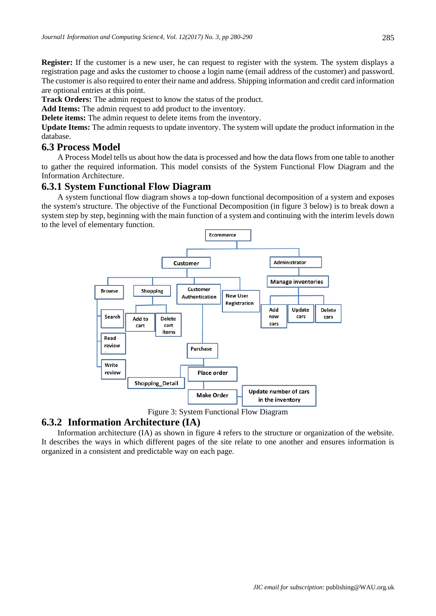**Register:** If the customer is a new user, he can request to register with the system. The system displays a registration page and asks the customer to choose a login name (email address of the customer) and password. The customer is also required to enter their name and address. Shipping information and credit card information are optional entries at this point.

**Track Orders:** The admin request to know the status of the product.

**Add Items:** The admin request to add product to the inventory.

**Delete items:** The admin request to delete items from the inventory.

**Update Items:** The admin requests to update inventory. The system will update the product information in the database.

### **6.3 Process Model**

A Process Model tells us about how the data is processed and how the data flows from one table to another to gather the required information. This model consists of the System Functional Flow Diagram and the Information Architecture.

### **6.3.1 System Functional Flow Diagram**

A system functional flow diagram shows a top-down functional decomposition of a system and exposes the system's structure. The objective of the Functional Decomposition (in figure 3 below) is to break down a system step by step, beginning with the main function of a system and continuing with the interim levels down to the level of elementary function.



Figure 3: System Functional Flow Diagram

### **6.3.2 Information Architecture (IA)**

Information architecture (IA) as shown in figure 4 refers to the structure or organization of the website. It describes the ways in which different pages of the site relate to one another and ensures information is organized in a consistent and predictable way on each page.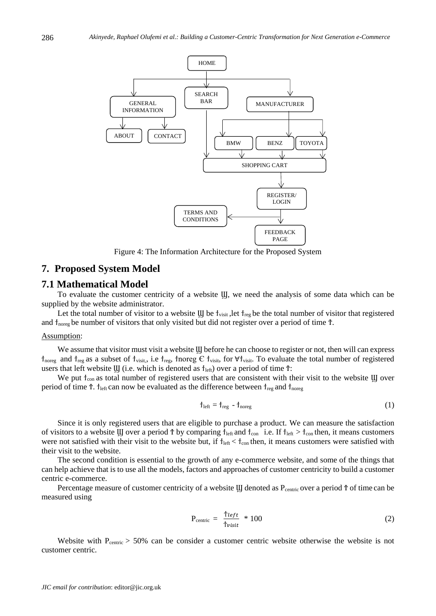

Figure 4: The Information Architecture for the Proposed System

#### **7. Proposed System Model**

#### **7.1 Mathematical Model**

To evaluate the customer centricity of a website Ϣ, we need the analysis of some data which can be supplied by the website administrator.

Let the total number of visitor to a website  $\bf{U}$  be  $\bf{\dot{\tau}}_{\rm{visit}}$ , let  $\bf{\dot{\tau}}_{\rm{reg}}$  be the total number of visitor that registered and  $\tau_{\text{norge}}$  be number of visitors that only visited but did not register over a period of time  $\bar{\tau}$ .

#### Assumption:

We assume that visitor must visit a website U before he can choose to register or not, then will can express  $\tau_{\text{noreg}}$  and  $\tau_{\text{reg}}$  as a subset of  $\tau_{\text{visit}}$ , i.e  $\tau_{\text{reg}}$ ,  $\tau_{\text{noreg}} \in \tau_{\text{visit}}$ , for  $\forall \tau_{\text{visit}}$ . To evaluate the total number of registered users that left website  $\mathbf{U}$  (i.e. which is denoted as  $f_{\text{left}}$ ) over a period of time  $\mathbf{\hat{T}}$ :

We put  $t_{con}$  as total number of registered users that are consistent with their visit to the website U over period of time  $\hat{T}$ .  $\hat{T}_{\text{left}}$  can now be evaluated as the difference between  $\hat{T}_{\text{reg}}$  and  $\hat{T}_{\text{noreg}}$ 

$$
f_{\text{left}} = f_{\text{reg}} - f_{\text{noreg}} \tag{1}
$$

Since it is only registered users that are eligible to purchase a product. We can measure the satisfaction of visitors to a website U over a period  $\hat{T}$  by comparing  $\hat{T}_{\text{left}}$  and  $\hat{T}_{\text{conf}}$  i.e. If  $\hat{T}_{\text{left}} > \hat{T}_{\text{conf}}$  then, it means customers were not satisfied with their visit to the website but, if  $t_{\text{left}} < t_{\text{con}}$  then, it means customers were satisfied with their visit to the website.

The second condition is essential to the growth of any e-commerce website, and some of the things that can help achieve that is to use all the models, factors and approaches of customer centricity to build a customer centric e-commerce.

Percentage measure of customer centricity of a website U denoted as  $P_{centric}$  over a period  $\uparrow$  of time can be measured using

$$
P_{\text{centric}} = \frac{\dot{T}left}{\dot{T}_{\text{visit}}} * 100 \tag{2}
$$

Website with P<sub>centric</sub> > 50% can be consider a customer centric website otherwise the website is not customer centric.

286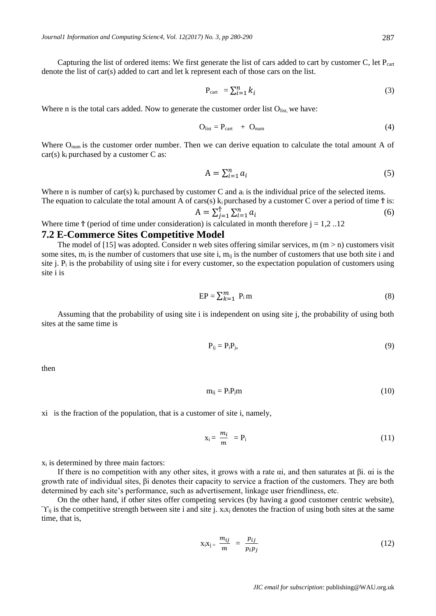Capturing the list of ordered items: We first generate the list of cars added to cart by customer C, let  $P_{\text{cart}}$ denote the list of car(s) added to cart and let k represent each of those cars on the list.

$$
P_{\text{cart}} = \sum_{i=1}^{n} k_i \tag{3}
$$

Where n is the total cars added. Now to generate the customer order list  $O<sub>list</sub>$ , we have:

$$
O_{list} = P_{cart} + O_{num} \tag{4}
$$

Where O<sub>num</sub> is the customer order number. Then we can derive equation to calculate the total amount A of  $car(s)$  k<sub>i</sub> purchased by a customer C as:

$$
A = \sum_{i=1}^{n} a_i \tag{5}
$$

Where n is number of car(s)  $k_i$  purchased by customer C and  $a_i$  is the individual price of the selected items. The equation to calculate the total amount A of cars(s)  $k_i$  purchased by a customer C over a period of time  $\hat{T}$  is:

$$
A = \sum_{j=1}^{T} \sum_{i=1}^{n} a_i
$$
 (6)

Where time  $\ddot{\tau}$  (period of time under consideration) is calculated in month therefore  $j = 1,2...12$ 

#### **7.2 E-Commerce Sites Competitive Model**

The model of [15] was adopted. Consider n web sites offering similar services, m  $(m > n)$  customers visit some sites,  $m_i$  is the number of customers that use site i,  $m_{ii}$  is the number of customers that use both site i and site j.  $P_i$  is the probability of using site i for every customer, so the expectation population of customers using site i is

$$
EP = \sum_{k=1}^{m} P_i m \tag{8}
$$

Assuming that the probability of using site i is independent on using site j, the probability of using both sites at the same time is

$$
P_{ij} = P_i P_j, \tag{9}
$$

then

$$
m_{ij} = P_i P_j m \tag{10}
$$

xi is the fraction of the population, that is a customer of site i, namely,

$$
x_i = \frac{m_i}{m} = P_i \tag{11}
$$

 $x_i$  is determined by three main factors:

If there is no competition with any other sites, it grows with a rate αi, and then saturates at βi. αi is the growth rate of individual sites, βi denotes their capacity to service a fraction of the customers. They are both determined by each site's performance, such as advertisement, linkage user friendliness, etc.

On the other hand, if other sites offer competing services (by having a good customer centric website),  $\gamma_{ii}$  is the competitive strength between site i and site j.  $x_i x_i$  denotes the fraction of using both sites at the same time, that is,

$$
x_i x_j = \frac{m_{ij}}{m} = \frac{p_{ij}}{p_i p_j} \tag{12}
$$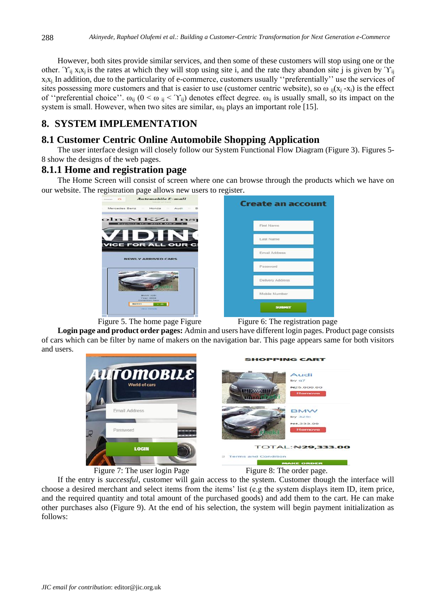However, both sites provide similar services, and then some of these customers will stop using one or the other.  $\Upsilon_{ii}$  x<sub>i</sub>x<sub>i</sub> is the rates at which they will stop using site i, and the rate they abandon site j is given by  $\Upsilon_{ii}$ xixj. In addition, due to the particularity of e-commerce, customers usually ''preferentially'' use the services of sites possessing more customers and that is easier to use (customer centric website), so  $\omega_{ii}(x_i - x_i)$  is the effect of "preferential choice".  $\omega_{ii}$  (0 <  $\omega_{ii}$  <  $\Upsilon_{ii}$ ) denotes effect degree.  $\omega_{ii}$  is usually small, so its impact on the system is small. However, when two sites are similar,  $\omega_{ij}$  plays an important role [15].

# **8. SYSTEM IMPLEMENTATION**

# **8.1 Customer Centric Online Automobile Shopping Application**

The user interface design will closely follow our System Functional Flow Diagram (Figure 3). Figures 5- 8 show the designs of the web pages.

## **8.1.1 Home and registration page**

The Home Screen will consist of screen where one can browse through the products which we have on our website. The registration page allows new users to register.







Figure 5. The home page Figure Figure 6: The registration page

**Login page and product order pages:** Admin and users have different login pages. Product page consists of cars which can be filter by name of makers on the navigation bar. This page appears same for both visitors and users.



If the entry is *successful*, customer will gain access to the system. Customer though the interface will choose a desired merchant and select items from the items' list (e.g the system displays item ID, item price, and the required quantity and total amount of the purchased goods) and add them to the cart. He can make other purchases also (Figure 9). At the end of his selection, the system will begin payment initialization as follows: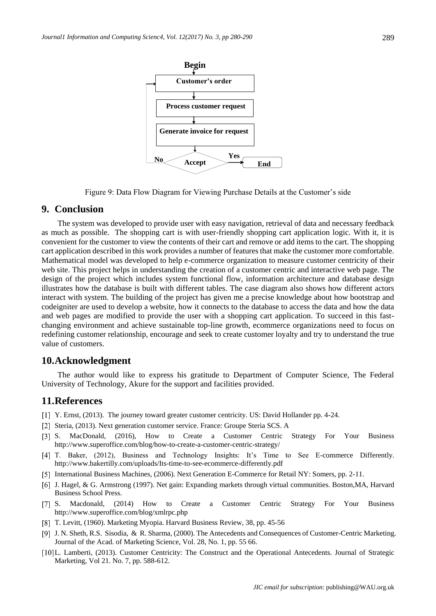

Figure 9: Data Flow Diagram for Viewing Purchase Details at the Customer's side

### **9. Conclusion**

The system was developed to provide user with easy navigation, retrieval of data and necessary feedback as much as possible. The shopping cart is with user-friendly shopping cart application logic. With it, it is convenient for the customer to view the contents of their cart and remove or add items to the cart. The shopping cart application described in this work provides a number of features that make the customer more comfortable. Mathematical model was developed to help e-commerce organization to measure customer centricity of their web site. This project helps in understanding the creation of a customer centric and interactive web page. The design of the project which includes system functional flow, information architecture and database design illustrates how the database is built with different tables. The case diagram also shows how different actors interact with system. The building of the project has given me a precise knowledge about how bootstrap and codeigniter are used to develop a website, how it connects to the database to access the data and how the data and web pages are modified to provide the user with a shopping cart application. To succeed in this fastchanging environment and achieve sustainable top-line growth, ecommerce organizations need to focus on redefining customer relationship, encourage and seek to create customer loyalty and try to understand the true value of customers.

#### **10.Acknowledgment**

The author would like to express his gratitude to Department of Computer Science, The Federal University of Technology, Akure for the support and facilities provided.

#### **11.References**

- Y. Ernst, (2013). The journey toward greater customer centricity. US: David Hollander pp. 4-24.
- [2] Steria, (2013). Next generation customer service. France: Groupe Steria SCS. A
- [3] S. MacDonald, (2016), How to Create a Customer Centric Strategy For Your Business http://www.superoffice.com/blog/how-to-create-a-customer-centric-strategy/
- [4] T. Baker, (2012), Business and Technology Insights: It's Time to See E-commerce Differently. http://www.bakertilly.com/uploads/Its-time-to-see-ecommerce-differently.pdf
- International Business Machines, (2006). Next Generation E-Commerce for Retail NY: Somers, pp. 2-11.
- J. Hagel, & G. Armstrong (1997). Net gain: Expanding markets through virtual communities. Boston,MA, Harvard Business School Press.
- [7] S. Macdonald, (2014) How to Create a Customer Centric Strategy For Your Business http://www.superoffice.com/blog/xmlrpc.php
- T. Levitt, (1960). Marketing Myopia. Harvard Business Review, 38, pp. 45-56
- [9] J. N. Sheth, R.S. Sisodia, & R. Sharma, (2000). The Antecedents and Consequences of Customer-Centric Marketing. Journal of the Acad. of Marketing Science, Vol. 28, No. 1, pp. 55 66.
- L. Lamberti, (2013). Customer Centricity: The Construct and the Operational Antecedents. Journal of Strategic Marketing, Vol 21. No. 7, pp. 588-612.